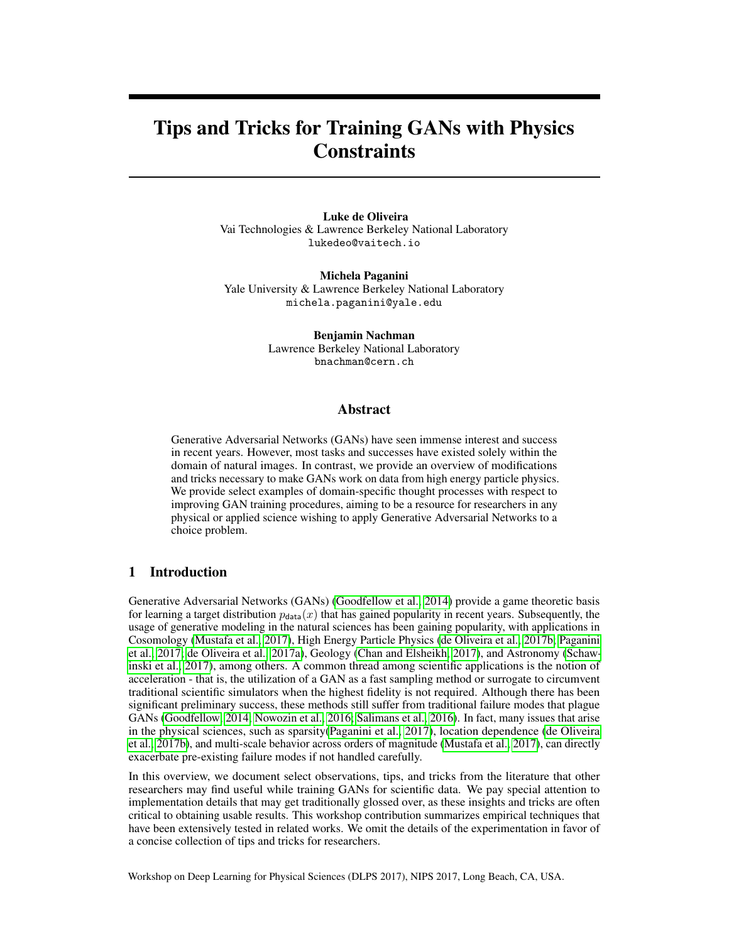# Tips and Tricks for Training GANs with Physics **Constraints**

Luke de Oliveira Vai Technologies & Lawrence Berkeley National Laboratory lukedeo@vaitech.io

Michela Paganini Yale University & Lawrence Berkeley National Laboratory michela.paganini@yale.edu

> Benjamin Nachman Lawrence Berkeley National Laboratory bnachman@cern.ch

#### Abstract

Generative Adversarial Networks (GANs) have seen immense interest and success in recent years. However, most tasks and successes have existed solely within the domain of natural images. In contrast, we provide an overview of modifications and tricks necessary to make GANs work on data from high energy particle physics. We provide select examples of domain-specific thought processes with respect to improving GAN training procedures, aiming to be a resource for researchers in any physical or applied science wishing to apply Generative Adversarial Networks to a choice problem.

#### 1 Introduction

Generative Adversarial Networks (GANs) [\(Goodfellow et al., 2014\)](#page-3-0) provide a game theoretic basis for learning a target distribution  $p_{data}(x)$  that has gained popularity in recent years. Subsequently, the usage of generative modeling in the natural sciences has been gaining popularity, with applications in Cosomology [\(Mustafa et al., 2017\)](#page-3-1), High Energy Particle Physics [\(de Oliveira et al., 2017b;](#page-3-2) [Paganini](#page-3-3) [et al., 2017;](#page-3-3) [de Oliveira et al., 2017a\)](#page-3-4), Geology [\(Chan and Elsheikh, 2017\)](#page-3-5), and Astronomy [\(Schaw](#page-3-6)[inski et al., 2017\)](#page-3-6), among others. A common thread among scientific applications is the notion of acceleration - that is, the utilization of a GAN as a fast sampling method or surrogate to circumvent traditional scientific simulators when the highest fidelity is not required. Although there has been significant preliminary success, these methods still suffer from traditional failure modes that plague GANs [\(Goodfellow, 2014;](#page-3-7) [Nowozin et al., 2016;](#page-3-8) [Salimans et al., 2016\)](#page-3-9). In fact, many issues that arise in the physical sciences, such as sparsity[\(Paganini et al., 2017\)](#page-3-3), location dependence [\(de Oliveira](#page-3-2) [et al., 2017b\)](#page-3-2), and multi-scale behavior across orders of magnitude [\(Mustafa et al., 2017\)](#page-3-1), can directly exacerbate pre-existing failure modes if not handled carefully.

In this overview, we document select observations, tips, and tricks from the literature that other researchers may find useful while training GANs for scientific data. We pay special attention to implementation details that may get traditionally glossed over, as these insights and tricks are often critical to obtaining usable results. This workshop contribution summarizes empirical techniques that have been extensively tested in related works. We omit the details of the experimentation in favor of a concise collection of tips and tricks for researchers.

Workshop on Deep Learning for Physical Sciences (DLPS 2017), NIPS 2017, Long Beach, CA, USA.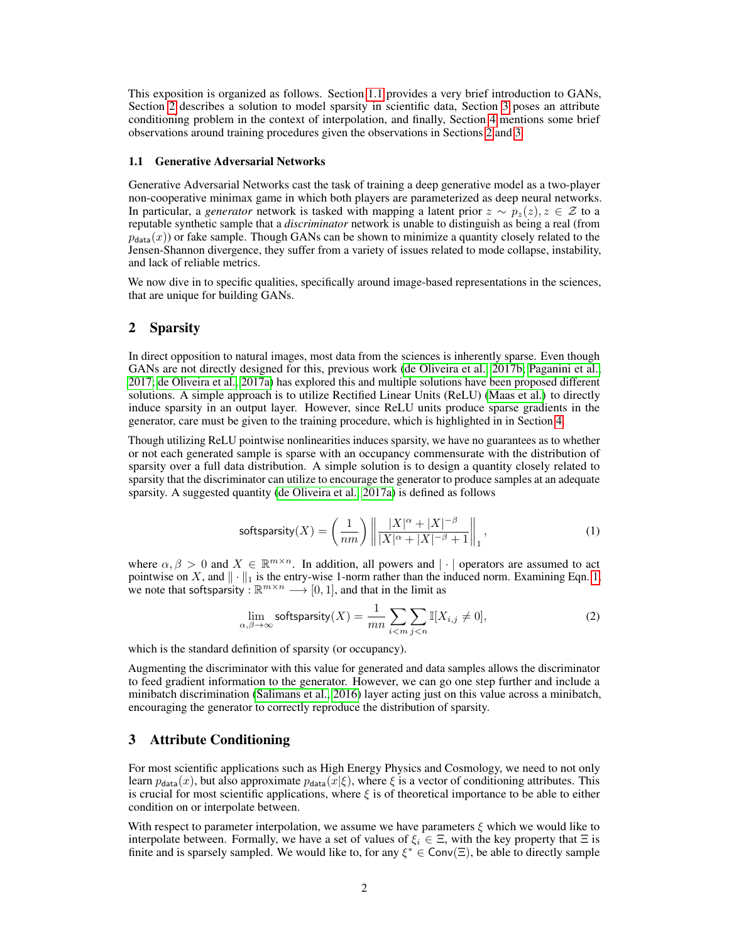This exposition is organized as follows. Section [1.1](#page-1-0) provides a very brief introduction to GANs, Section [2](#page-1-1) describes a solution to model sparsity in scientific data, Section [3](#page-1-2) poses an attribute conditioning problem in the context of interpolation, and finally, Section [4](#page-2-0) mentions some brief observations around training procedures given the observations in Sections [2](#page-1-1) and [3.](#page-1-2)

#### <span id="page-1-0"></span>1.1 Generative Adversarial Networks

Generative Adversarial Networks cast the task of training a deep generative model as a two-player non-cooperative minimax game in which both players are parameterized as deep neural networks. In particular, a *generator* network is tasked with mapping a latent prior  $z \sim p_z(z)$ ,  $z \in \mathcal{Z}$  to a reputable synthetic sample that a *discriminator* network is unable to distinguish as being a real (from  $p_{\text{data}}(x)$ ) or fake sample. Though GANs can be shown to minimize a quantity closely related to the Jensen-Shannon divergence, they suffer from a variety of issues related to mode collapse, instability, and lack of reliable metrics.

We now dive in to specific qualities, specifically around image-based representations in the sciences, that are unique for building GANs.

#### <span id="page-1-1"></span>2 Sparsity

In direct opposition to natural images, most data from the sciences is inherently sparse. Even though GANs are not directly designed for this, previous work [\(de Oliveira et al., 2017b;](#page-3-2) [Paganini et al.,](#page-3-3) [2017;](#page-3-3) [de Oliveira et al., 2017a\)](#page-3-4) has explored this and multiple solutions have been proposed different solutions. A simple approach is to utilize Rectified Linear Units (ReLU) [\(Maas et al.\)](#page-3-10) to directly induce sparsity in an output layer. However, since ReLU units produce sparse gradients in the generator, care must be given to the training procedure, which is highlighted in in Section [4.](#page-2-0)

Though utilizing ReLU pointwise nonlinearities induces sparsity, we have no guarantees as to whether or not each generated sample is sparse with an occupancy commensurate with the distribution of sparsity over a full data distribution. A simple solution is to design a quantity closely related to sparsity that the discriminator can utilize to encourage the generator to produce samples at an adequate sparsity. A suggested quantity [\(de Oliveira et al., 2017a\)](#page-3-4) is defined as follows

<span id="page-1-3"></span>
$$
\text{softsparsity}(X) = \left(\frac{1}{nm}\right) \left\| \frac{|X|^{\alpha} + |X|^{-\beta}}{|X|^{\alpha} + |X|^{-\beta} + 1} \right\|_1, \tag{1}
$$

where  $\alpha, \beta > 0$  and  $X \in \mathbb{R}^{m \times n}$ . In addition, all powers and  $|\cdot|$  operators are assumed to act pointwise on X, and  $\|\cdot\|_1$  is the entry-wise 1-norm rather than the induced norm. Examining Eqn. [1,](#page-1-3) we note that softsparsity :  $\mathbb{R}^{m \times n} \longrightarrow [0, 1]$ , and that in the limit as

$$
\lim_{\alpha,\beta \to \infty} \text{softsparsity}(X) = \frac{1}{mn} \sum_{i < m} \sum_{j < n} \mathbb{I}[X_{i,j} \neq 0],\tag{2}
$$

which is the standard definition of sparsity (or occupancy).

Augmenting the discriminator with this value for generated and data samples allows the discriminator to feed gradient information to the generator. However, we can go one step further and include a minibatch discrimination [\(Salimans et al., 2016\)](#page-3-9) layer acting just on this value across a minibatch, encouraging the generator to correctly reproduce the distribution of sparsity.

### <span id="page-1-2"></span>3 Attribute Conditioning

For most scientific applications such as High Energy Physics and Cosmology, we need to not only learn  $p_{data}(x)$ , but also approximate  $p_{data}(x|\xi)$ , where  $\xi$  is a vector of conditioning attributes. This is crucial for most scientific applications, where  $\xi$  is of theoretical importance to be able to either condition on or interpolate between.

With respect to parameter interpolation, we assume we have parameters  $\xi$  which we would like to interpolate between. Formally, we have a set of values of  $\xi_i \in \Xi$ , with the key property that  $\Xi$  is finite and is sparsely sampled. We would like to, for any  $\xi^* \in Conv(\Xi)$ , be able to directly sample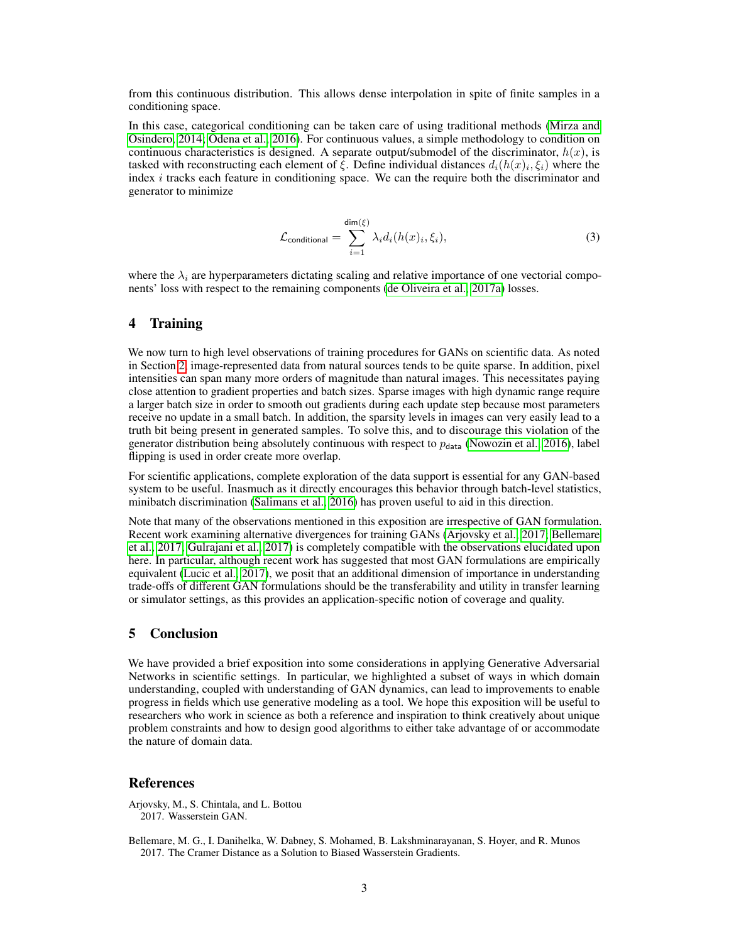from this continuous distribution. This allows dense interpolation in spite of finite samples in a conditioning space.

In this case, categorical conditioning can be taken care of using traditional methods [\(Mirza and](#page-3-11) [Osindero, 2014;](#page-3-11) [Odena et al., 2016\)](#page-3-12). For continuous values, a simple methodology to condition on continuous characteristics is designed. A separate output/submodel of the discriminator,  $h(x)$ , is tasked with reconstructing each element of  $\xi$ . Define individual distances  $d_i(h(x)_i, \xi_i)$  where the index  $i$  tracks each feature in conditioning space. We can the require both the discriminator and generator to minimize

$$
\mathcal{L}_{\text{conditional}} = \sum_{i=1}^{\dim(\xi)} \lambda_i d_i(h(x)_i, \xi_i), \tag{3}
$$

where the  $\lambda_i$  are hyperparameters dictating scaling and relative importance of one vectorial components' loss with respect to the remaining components [\(de Oliveira et al., 2017a\)](#page-3-4) losses.

## <span id="page-2-0"></span>4 Training

We now turn to high level observations of training procedures for GANs on scientific data. As noted in Section [2,](#page-1-1) image-represented data from natural sources tends to be quite sparse. In addition, pixel intensities can span many more orders of magnitude than natural images. This necessitates paying close attention to gradient properties and batch sizes. Sparse images with high dynamic range require a larger batch size in order to smooth out gradients during each update step because most parameters receive no update in a small batch. In addition, the sparsity levels in images can very easily lead to a truth bit being present in generated samples. To solve this, and to discourage this violation of the generator distribution being absolutely continuous with respect to  $p_{data}$  [\(Nowozin et al., 2016\)](#page-3-8), label flipping is used in order create more overlap.

For scientific applications, complete exploration of the data support is essential for any GAN-based system to be useful. Inasmuch as it directly encourages this behavior through batch-level statistics, minibatch discrimination [\(Salimans et al., 2016\)](#page-3-9) has proven useful to aid in this direction.

Note that many of the observations mentioned in this exposition are irrespective of GAN formulation. Recent work examining alternative divergences for training GANs [\(Arjovsky et al., 2017;](#page-2-1) [Bellemare](#page-2-2) [et al., 2017;](#page-2-2) [Gulrajani et al., 2017\)](#page-3-13) is completely compatible with the observations elucidated upon here. In particular, although recent work has suggested that most GAN formulations are empirically equivalent [\(Lucic et al., 2017\)](#page-3-14), we posit that an additional dimension of importance in understanding trade-offs of different GAN formulations should be the transferability and utility in transfer learning or simulator settings, as this provides an application-specific notion of coverage and quality.

## 5 Conclusion

We have provided a brief exposition into some considerations in applying Generative Adversarial Networks in scientific settings. In particular, we highlighted a subset of ways in which domain understanding, coupled with understanding of GAN dynamics, can lead to improvements to enable progress in fields which use generative modeling as a tool. We hope this exposition will be useful to researchers who work in science as both a reference and inspiration to think creatively about unique problem constraints and how to design good algorithms to either take advantage of or accommodate the nature of domain data.

#### **References**

<span id="page-2-1"></span>Arjovsky, M., S. Chintala, and L. Bottou 2017. Wasserstein GAN.

<span id="page-2-2"></span>Bellemare, M. G., I. Danihelka, W. Dabney, S. Mohamed, B. Lakshminarayanan, S. Hoyer, and R. Munos 2017. The Cramer Distance as a Solution to Biased Wasserstein Gradients.